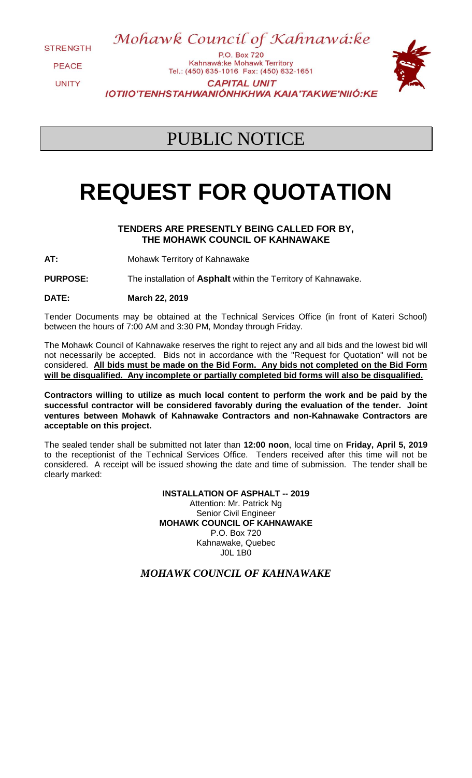**STRENGTH** 

**PFACE UNITY** 

P.O. Box 720 Kahnawá:ke Mohawk Territory Tel.: (450) 635-1016 Fax: (450) 632-1651 **CAPITAL UNIT IOTIIO'TENHSTAHWANIÓNHKHWA KAIA'TAKWE'NIIÓ:KE** 

Mohawk Council of Kahnawá:ke

## PUBLIC NOTICE

# **REQUEST FOR QUOTATION**

### **TENDERS ARE PRESENTLY BEING CALLED FOR BY, THE MOHAWK COUNCIL OF KAHNAWAKE**

**AT:** Mohawk Territory of Kahnawake

**PURPOSE:** The installation of **Asphalt** within the Territory of Kahnawake.

**DATE: March 22, 2019**

Tender Documents may be obtained at the Technical Services Office (in front of Kateri School) between the hours of 7:00 AM and 3:30 PM, Monday through Friday.

The Mohawk Council of Kahnawake reserves the right to reject any and all bids and the lowest bid will not necessarily be accepted. Bids not in accordance with the "Request for Quotation" will not be considered. **All bids must be made on the Bid Form. Any bids not completed on the Bid Form will be disqualified. Any incomplete or partially completed bid forms will also be disqualified.**

**Contractors willing to utilize as much local content to perform the work and be paid by the successful contractor will be considered favorably during the evaluation of the tender. Joint ventures between Mohawk of Kahnawake Contractors and non-Kahnawake Contractors are acceptable on this project.** 

The sealed tender shall be submitted not later than **12:00 noon**, local time on **Friday, April 5, 2019** to the receptionist of the Technical Services Office. Tenders received after this time will not be considered. A receipt will be issued showing the date and time of submission. The tender shall be clearly marked:

> **INSTALLATION OF ASPHALT -- 2019** Attention: Mr. Patrick Ng Senior Civil Engineer **MOHAWK COUNCIL OF KAHNAWAKE** P.O. Box 720 Kahnawake, Quebec J0L 1B0

*MOHAWK COUNCIL OF KAHNAWAKE*